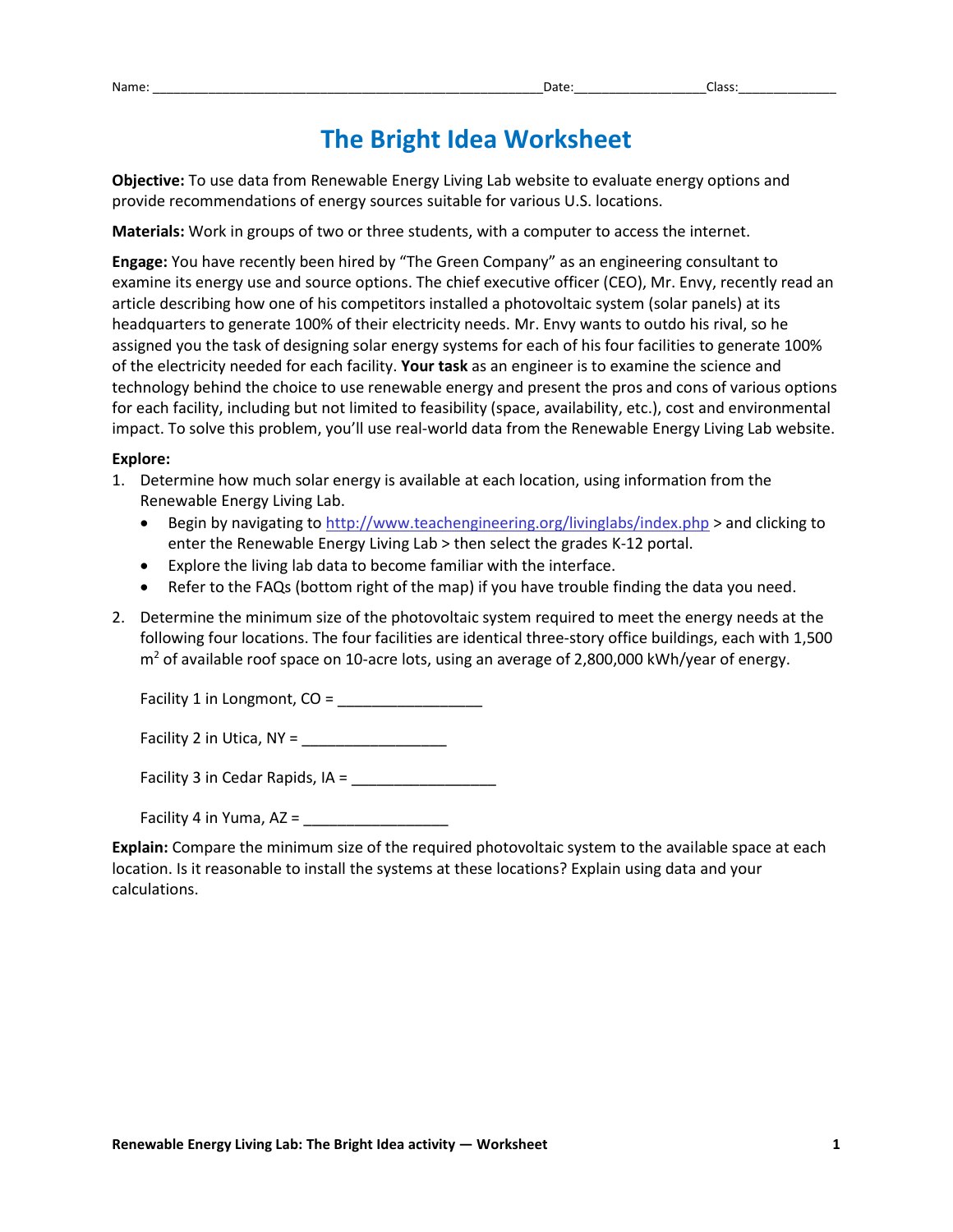## **The Bright Idea Worksheet**

**Objective:** To use data from Renewable Energy Living Lab website to evaluate energy options and provide recommendations of energy sources suitable for various U.S. locations.

**Materials:** Work in groups of two or three students, with a computer to access the internet.

**Engage:** You have recently been hired by "The Green Company" as an engineering consultant to examine its energy use and source options. The chief executive officer (CEO), Mr. Envy, recently read an article describing how one of his competitors installed a photovoltaic system (solar panels) at its headquarters to generate 100% of their electricity needs. Mr. Envy wants to outdo his rival, so he assigned you the task of designing solar energy systems for each of his four facilities to generate 100% of the electricity needed for each facility. **Your task** as an engineer is to examine the science and technology behind the choice to use renewable energy and present the pros and cons of various options for each facility, including but not limited to feasibility (space, availability, etc.), cost and environmental impact. To solve this problem, you'll use real-world data from the Renewable Energy Living Lab website.

## **Explore:**

- 1. Determine how much solar energy is available at each location, using information from the Renewable Energy Living Lab.
	- Begin by navigating to http://www.teachengineering.org/livinglabs/index.php > and clicking to enter the Renewable Energy Living Lab > then select the grades K-12 portal.
	- Explore the living lab data to become familiar with the interface.
	- Refer to the FAQs (bottom right of the map) if you have trouble finding the data you need.
- 2. Determine the minimum size of the photovoltaic system required to meet the energy needs at the following four locations. The four facilities are identical three-story office buildings, each with 1,500  $m<sup>2</sup>$  of available roof space on 10-acre lots, using an average of 2,800,000 kWh/year of energy.

Facility 1 in Longmont, CO =

Facility 2 in Utica, NY = \_\_\_\_\_\_\_\_\_\_\_\_\_\_\_\_\_

Facility 3 in Cedar Rapids, IA = \_\_\_\_\_\_\_\_\_\_\_\_\_\_\_\_\_

Facility 4 in Yuma, AZ = \_\_\_\_\_\_\_\_\_\_\_\_\_\_\_\_\_

**Explain:** Compare the minimum size of the required photovoltaic system to the available space at each location. Is it reasonable to install the systems at these locations? Explain using data and your calculations.